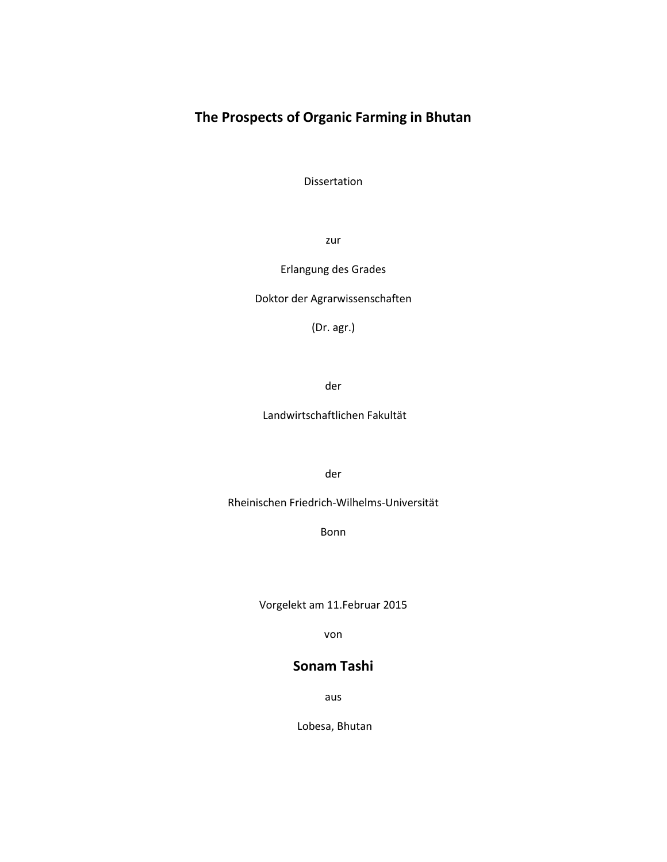# **The Prospects of Organic Farming in Bhutan**

Dissertation

zur

### Erlangung des Grades

Doktor der Agrarwissenschaften

(Dr. agr.)

der

Landwirtschaftlichen Fakultät

der

Rheinischen Friedrich-Wilhelms-Universität

Bonn

Vorgelekt am 11.Februar 2015

von

## **Sonam Tashi**

aus

Lobesa, Bhutan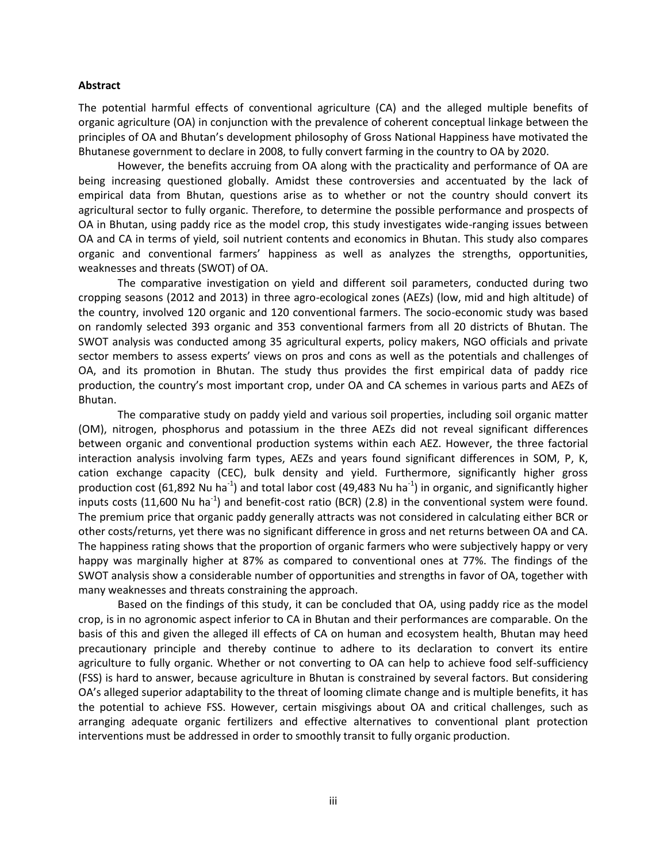### **Abstract**

The potential harmful effects of conventional agriculture (CA) and the alleged multiple benefits of organic agriculture (OA) in conjunction with the prevalence of coherent conceptual linkage between the principles of OA and Bhutan's development philosophy of Gross National Happiness have motivated the Bhutanese government to declare in 2008, to fully convert farming in the country to OA by 2020.

However, the benefits accruing from OA along with the practicality and performance of OA are being increasing questioned globally. Amidst these controversies and accentuated by the lack of empirical data from Bhutan, questions arise as to whether or not the country should convert its agricultural sector to fully organic. Therefore, to determine the possible performance and prospects of OA in Bhutan, using paddy rice as the model crop, this study investigates wide-ranging issues between OA and CA in terms of yield, soil nutrient contents and economics in Bhutan. This study also compares organic and conventional farmers' happiness as well as analyzes the strengths, opportunities, weaknesses and threats (SWOT) of OA.

The comparative investigation on yield and different soil parameters, conducted during two cropping seasons (2012 and 2013) in three agro-ecological zones (AEZs) (low, mid and high altitude) of the country, involved 120 organic and 120 conventional farmers. The socio-economic study was based on randomly selected 393 organic and 353 conventional farmers from all 20 districts of Bhutan. The SWOT analysis was conducted among 35 agricultural experts, policy makers, NGO officials and private sector members to assess experts' views on pros and cons as well as the potentials and challenges of OA, and its promotion in Bhutan. The study thus provides the first empirical data of paddy rice production, the country's most important crop, under OA and CA schemes in various parts and AEZs of Bhutan.

The comparative study on paddy yield and various soil properties, including soil organic matter (OM), nitrogen, phosphorus and potassium in the three AEZs did not reveal significant differences between organic and conventional production systems within each AEZ. However, the three factorial interaction analysis involving farm types, AEZs and years found significant differences in SOM, P, K, cation exchange capacity (CEC), bulk density and yield. Furthermore, significantly higher gross production cost (61,892 Nu ha<sup>-1</sup>) and total labor cost (49,483 Nu ha<sup>-1</sup>) in organic, and significantly higher inputs costs (11,600 Nu ha<sup>-1</sup>) and benefit-cost ratio (BCR) (2.8) in the conventional system were found. The premium price that organic paddy generally attracts was not considered in calculating either BCR or other costs/returns, yet there was no significant difference in gross and net returns between OA and CA. The happiness rating shows that the proportion of organic farmers who were subjectively happy or very happy was marginally higher at 87% as compared to conventional ones at 77%. The findings of the SWOT analysis show a considerable number of opportunities and strengths in favor of OA, together with many weaknesses and threats constraining the approach.

Based on the findings of this study, it can be concluded that OA, using paddy rice as the model crop, is in no agronomic aspect inferior to CA in Bhutan and their performances are comparable. On the basis of this and given the alleged ill effects of CA on human and ecosystem health, Bhutan may heed precautionary principle and thereby continue to adhere to its declaration to convert its entire agriculture to fully organic. Whether or not converting to OA can help to achieve food self-sufficiency (FSS) is hard to answer, because agriculture in Bhutan is constrained by several factors. But considering OA's alleged superior adaptability to the threat of looming climate change and is multiple benefits, it has the potential to achieve FSS. However, certain misgivings about OA and critical challenges, such as arranging adequate organic fertilizers and effective alternatives to conventional plant protection interventions must be addressed in order to smoothly transit to fully organic production.